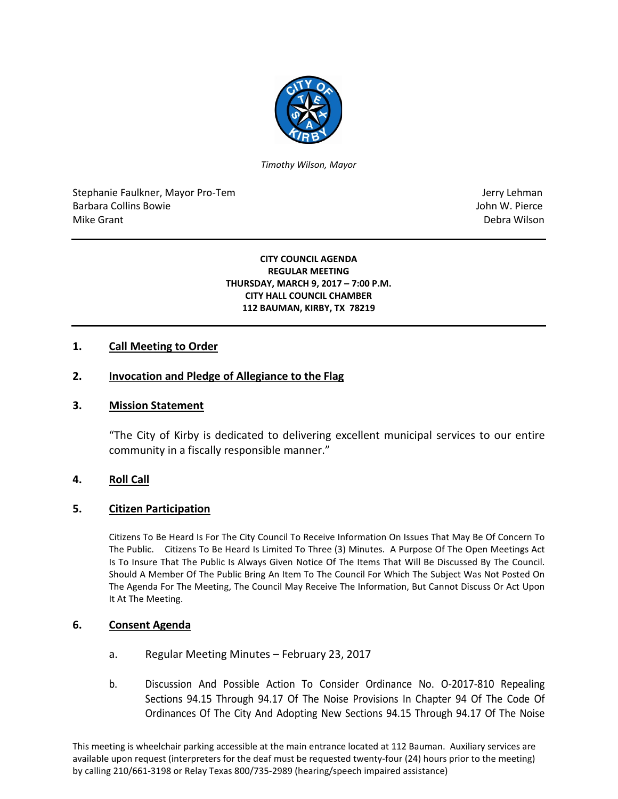

*Timothy Wilson, Mayor*

Stephanie Faulkner, Mayor Pro-Tem Jerry Lehman Jerry Lehman Barbara Collins Bowie John W. Pierce Mike Grant **Debra Wilson** 

#### **CITY COUNCIL AGENDA REGULAR MEETING THURSDAY, MARCH 9, 2017 – 7:00 P.M. CITY HALL COUNCIL CHAMBER 112 BAUMAN, KIRBY, TX 78219**

## **1. Call Meeting to Order**

### **2. Invocation and Pledge of Allegiance to the Flag**

#### **3. Mission Statement**

"The City of Kirby is dedicated to delivering excellent municipal services to our entire community in a fiscally responsible manner."

#### **4. Roll Call**

#### **5. Citizen Participation**

Citizens To Be Heard Is For The City Council To Receive Information On Issues That May Be Of Concern To The Public. Citizens To Be Heard Is Limited To Three (3) Minutes. A Purpose Of The Open Meetings Act Is To Insure That The Public Is Always Given Notice Of The Items That Will Be Discussed By The Council. Should A Member Of The Public Bring An Item To The Council For Which The Subject Was Not Posted On The Agenda For The Meeting, The Council May Receive The Information, But Cannot Discuss Or Act Upon It At The Meeting.

#### **6. Consent Agenda**

- a. Regular Meeting Minutes February 23, 2017
- b. Discussion And Possible Action To Consider Ordinance No. O-2017-810 Repealing Sections 94.15 Through 94.17 Of The Noise Provisions In Chapter 94 Of The Code Of Ordinances Of The City And Adopting New Sections 94.15 Through 94.17 Of The Noise

This meeting is wheelchair parking accessible at the main entrance located at 112 Bauman. Auxiliary services are available upon request (interpreters for the deaf must be requested twenty-four (24) hours prior to the meeting) by calling 210/661-3198 or Relay Texas 800/735-2989 (hearing/speech impaired assistance)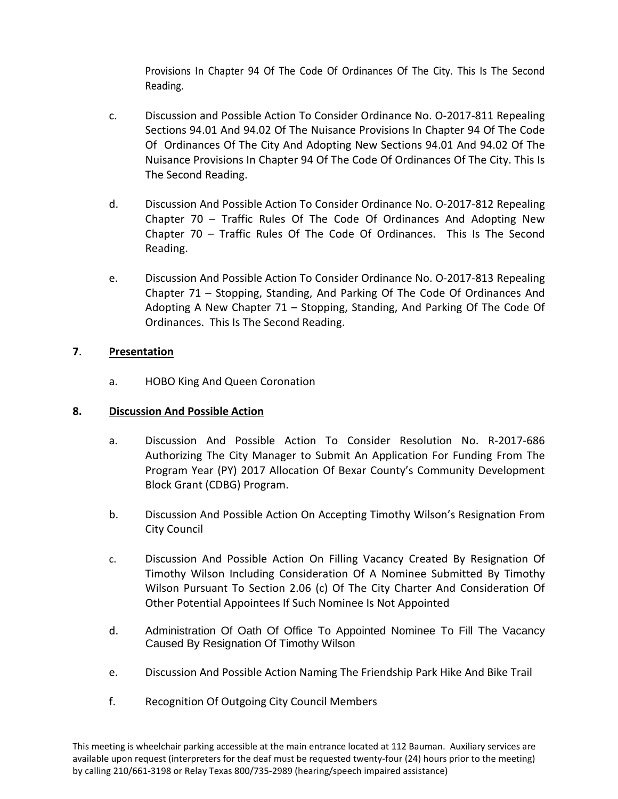Provisions In Chapter 94 Of The Code Of Ordinances Of The City. This Is The Second Reading.

- c. Discussion and Possible Action To Consider Ordinance No. O-2017-811 Repealing Sections 94.01 And 94.02 Of The Nuisance Provisions In Chapter 94 Of The Code Of Ordinances Of The City And Adopting New Sections 94.01 And 94.02 Of The Nuisance Provisions In Chapter 94 Of The Code Of Ordinances Of The City. This Is The Second Reading.
- d. Discussion And Possible Action To Consider Ordinance No. O-2017-812 Repealing Chapter 70 – Traffic Rules Of The Code Of Ordinances And Adopting New Chapter 70 – Traffic Rules Of The Code Of Ordinances. This Is The Second Reading.
- e. Discussion And Possible Action To Consider Ordinance No. O-2017-813 Repealing Chapter 71 – Stopping, Standing, And Parking Of The Code Of Ordinances And Adopting A New Chapter 71 – Stopping, Standing, And Parking Of The Code Of Ordinances. This Is The Second Reading.

# **7**. **Presentation**

a. HOBO King And Queen Coronation

# **8. Discussion And Possible Action**

- a. Discussion And Possible Action To Consider Resolution No. R-2017-686 Authorizing The City Manager to Submit An Application For Funding From The Program Year (PY) 2017 Allocation Of Bexar County's Community Development Block Grant (CDBG) Program.
- b. Discussion And Possible Action On Accepting Timothy Wilson's Resignation From City Council
- c. Discussion And Possible Action On Filling Vacancy Created By Resignation Of Timothy Wilson Including Consideration Of A Nominee Submitted By Timothy Wilson Pursuant To Section 2.06 (c) Of The City Charter And Consideration Of Other Potential Appointees If Such Nominee Is Not Appointed
- d. Administration Of Oath Of Office To Appointed Nominee To Fill The Vacancy Caused By Resignation Of Timothy Wilson
- e. Discussion And Possible Action Naming The Friendship Park Hike And Bike Trail
- f. Recognition Of Outgoing City Council Members